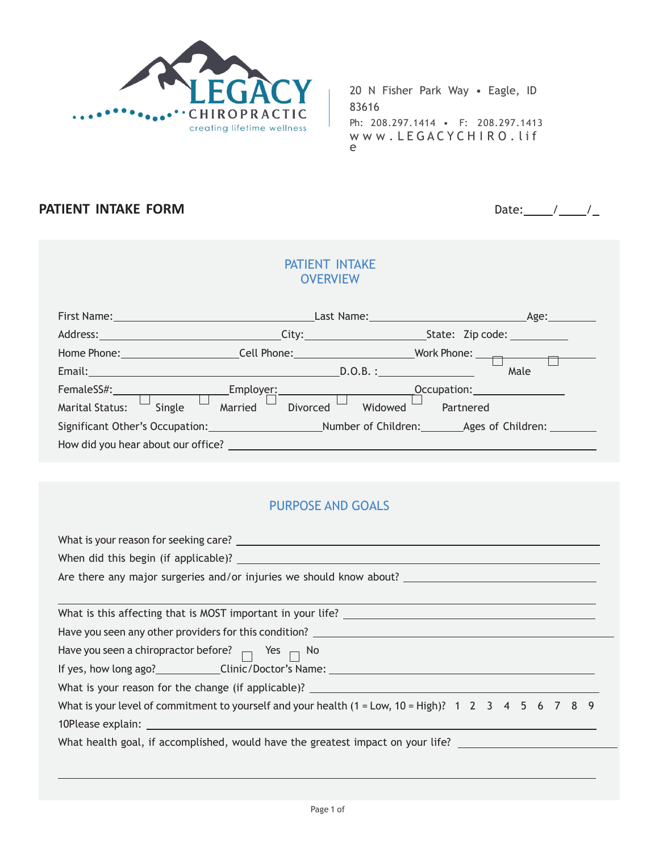

### **PATIENT INTAKE FORM** Date:  $/$  /  $/$

#### PATIENT INTAKE **OVERVIEW**

| First Name:                                                                                                     | Last Name: Name and Separate Services and Services and Services and Services and Services and Services and Services and Services and Services and Services and Services and Services and Services and Services and Services an<br>Age: |                                           |                                                                                                                 |  |  |
|-----------------------------------------------------------------------------------------------------------------|----------------------------------------------------------------------------------------------------------------------------------------------------------------------------------------------------------------------------------------|-------------------------------------------|-----------------------------------------------------------------------------------------------------------------|--|--|
| Address: City: City:                                                                                            |                                                                                                                                                                                                                                        |                                           |                                                                                                                 |  |  |
| Home Phone: The Contract of the Contract of the Contract of the Contract of the Contract of the Contract of the |                                                                                                                                                                                                                                        | Cell Phone: <u>Cell Phone</u>             | Work Phone: $\qquad \qquad \Box$                                                                                |  |  |
| Email: Email: And All And All And All And All And All And All And All And All And All And All And A             |                                                                                                                                                                                                                                        | D.O.B.:                                   | Male                                                                                                            |  |  |
| FemaleSS#:__________________                                                                                    |                                                                                                                                                                                                                                        | Employe <u>r:_____________</u> __________ | Occupation: Decree Control of the Control of the Control of the Control of the Control of the Control of the Co |  |  |
| Single<br><b>Marital Status:</b>                                                                                | Married                                                                                                                                                                                                                                | Widowed<br>Divorced                       | Partnered                                                                                                       |  |  |
|                                                                                                                 |                                                                                                                                                                                                                                        |                                           | Significant Other's Occupation: Mumber of Children: Ages of Children: 2008                                      |  |  |
| How did you hear about our office?                                                                              |                                                                                                                                                                                                                                        |                                           |                                                                                                                 |  |  |

### PURPOSE AND GOALS

| Have you seen a chiropractor before? $\Box$ Yes $\Box$ No                                               |  |  |  |  |  |  |
|---------------------------------------------------------------------------------------------------------|--|--|--|--|--|--|
|                                                                                                         |  |  |  |  |  |  |
| What is your reason for the change (if applicable)? ____________________________                        |  |  |  |  |  |  |
| What is your level of commitment to yourself and your health $(1 = Low, 10 = High)$ ? 1 2 3 4 5 6 7 8 9 |  |  |  |  |  |  |
|                                                                                                         |  |  |  |  |  |  |
| What health goal, if accomplished, would have the greatest impact on your life?                         |  |  |  |  |  |  |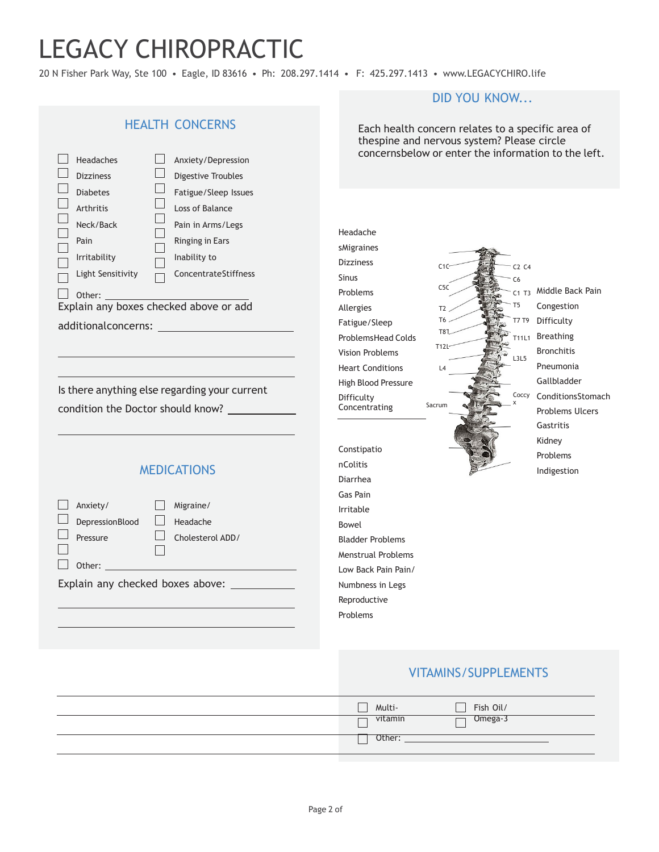20 N Fisher Park Way, Ste 100 • Eagle, ID 83616 • Ph: 208.297.1414 • F: 425.297.1413 • www.LEGACYCHIRO.life

HEALTH CONCERNS Each health concern relates to a specific area of thespine and nervous system? Please circle concernsbelow or enter the information to the left. Headaches Anxiety/Depression  $\Box$  Dizziness  $\Box$ Digestive Troubles  $\Box$ Diabetes Fatigue/Sleep Issues  $\Box$  $\Box$ Arthritis Loss of Balance  $\Box$ Neck/Back Pain in Arms/Legs Г Headache Pain Ringing in Ears  $\Box$ sMigraines П Inability to Irritability Dizziness  $\Box$  $C1C$ C2 C4 Light Sensitivity ConcentrateStiffness  $\Box$  $\Box$ Sinus C6  $C5C$  $\Box$  Other: Problems C1 T3 Middle Back Pain T5 Explain any boxes checked above or add Allergies Congestion  $T2$ T6 T7 T9 Difficulty Fatigue/Sleep additionalconcerns: T8T10 Breathing ProblemsHead Colds T11L1 **T12L** Bronchitis Vision Problems L3L5 Pneumonia Heart Conditions  $\overline{A}$ Gallbladder High Blood Pressure Is there anything else regarding your current Coccy ConditionsStomach Difficulty x Sacrum Concentrating condition the Doctor should know? Problems Ulcers Gastritis Kidney Constipatio Problems nColitis **MEDICATIONS** Indigestion Diarrhea Gas Pain  $\Box$  Anxiety/ Migraine/ Irritable DepressionBlood  $\Box$ Headache Bowel  $\Box$  $\Box$ Pressure Cholesterol ADD/ Bladder Problems  $\Box$  $\Box$ Menstrual Problems Other: Low Back Pain Pain/ Explain any checked boxes above:Numbness in Legs Reproductive Problems

#### VITAMINS/SUPPLEMENTS

DID YOU KNOW...

| Fish Oil/<br>Multi- |
|---------------------|
| Omega-3<br>vitamin  |
| Other:              |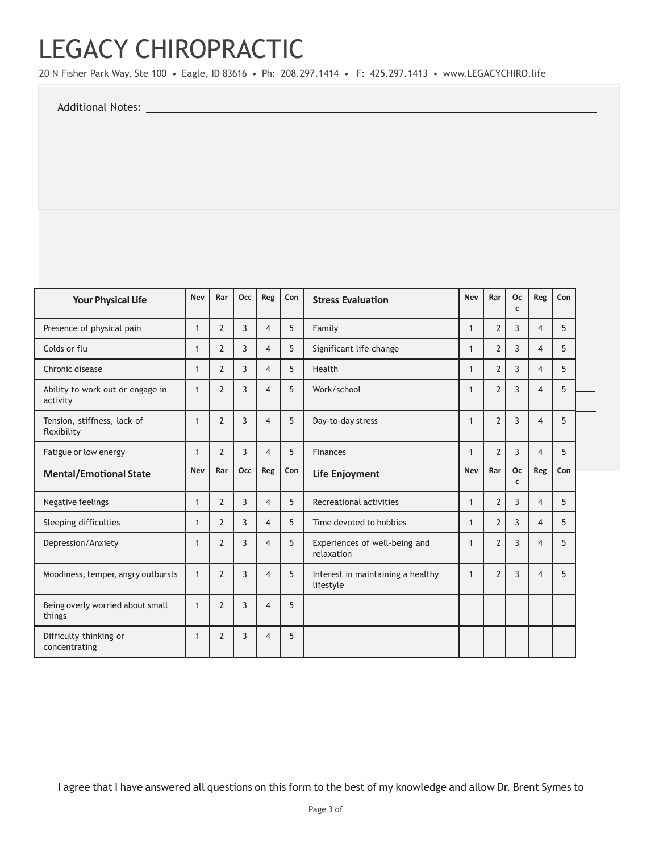20 N Fisher Park Way, Ste 100 • Eagle, ID 83616 • Ph: 208.297.1414 • F: 425.297.1413 • www.LEGACYCHIRO.life

Additional Notes:

| <b>Your Physical Life</b>                    | <b>Nev</b>   | Rar            | Occ            | Reg                      | Con | <b>Stress Evaluation</b>                       |                          | Rar            | Oc<br>C | Reg            | Con |  |
|----------------------------------------------|--------------|----------------|----------------|--------------------------|-----|------------------------------------------------|--------------------------|----------------|---------|----------------|-----|--|
| Presence of physical pain                    | $\mathbf{1}$ | $\overline{2}$ | 3              | $\overline{4}$           | 5   | Family                                         | 1                        | $\overline{2}$ | 3       | $\overline{4}$ | 5   |  |
| Colds or flu                                 | $\mathbf{1}$ | $\overline{2}$ | 3              | $\overline{4}$           | 5   | Significant life change                        | $\mathbf{1}$             | $\overline{2}$ | 3       | 4              | 5   |  |
| Chronic disease                              | 1            | $\overline{2}$ | 3              | $\overline{4}$           | 5   | Health                                         | 1                        | $\overline{2}$ | 3       | $\overline{4}$ | 5   |  |
| Ability to work out or engage in<br>activity | $\mathbf{1}$ | $\overline{2}$ | 3              | $\overline{\mathcal{A}}$ | 5   | Work/school                                    | 1                        | $\overline{2}$ | 3       | 4              | 5   |  |
| Tension, stiffness, lack of<br>flexibility   | $\mathbf 1$  | $\overline{2}$ | 3              | $\overline{\mathcal{A}}$ | 5   | Day-to-day stress                              | $\mathbf 1$              | $\overline{2}$ | 3       | $\overline{4}$ | 5   |  |
| Fatigue or low energy                        | 1            | $\overline{2}$ | 3              | $\overline{4}$           | 5   | <b>Finances</b>                                | $\overline{2}$<br>3<br>1 |                |         | $\overline{4}$ | 5   |  |
| <b>Mental/Emotional State</b>                | <b>Nev</b>   | Rar            | Occ            | Reg                      | Con | Life Enjoyment                                 | <b>Nev</b>               | Rar            | Oc<br>C | Reg            | Con |  |
| Negative feelings                            | 1            | $\overline{2}$ | 3              | $\overline{4}$           | 5   | Recreational activities                        | $\mathbf{1}$             | $\overline{2}$ | 3       | $\overline{4}$ | 5   |  |
| Sleeping difficulties                        | 1            | $\overline{2}$ | 3              | $\overline{4}$           | 5   | Time devoted to hobbies                        | 1                        | $\overline{2}$ | 3       | $\overline{4}$ | 5   |  |
| Depression/Anxiety                           | $\mathbf{1}$ | $\overline{2}$ | 3              | $\overline{\mathcal{A}}$ | 5   | Experiences of well-being and<br>relaxation    | 1                        | $\overline{2}$ | 3       | $\overline{4}$ | 5   |  |
| Moodiness, temper, angry outbursts           | $\mathbf{1}$ | $\overline{2}$ | $\overline{3}$ | $\overline{4}$           | 5   | Interest in maintaining a healthy<br>lifestyle | $\mathbf 1$              | $\overline{2}$ | 3       | $\overline{4}$ | 5   |  |
| Being overly worried about small<br>things   | $\mathbf{1}$ | $\overline{2}$ | 3              | $\overline{\mathcal{A}}$ | 5   |                                                |                          |                |         |                |     |  |
| Difficulty thinking or<br>concentrating      | 1            | $\overline{2}$ | 3              | $\overline{\mathcal{A}}$ | 5   |                                                |                          |                |         |                |     |  |

I agree that I have answered all questions on this form to the best of my knowledge and allow Dr. Brent Symes to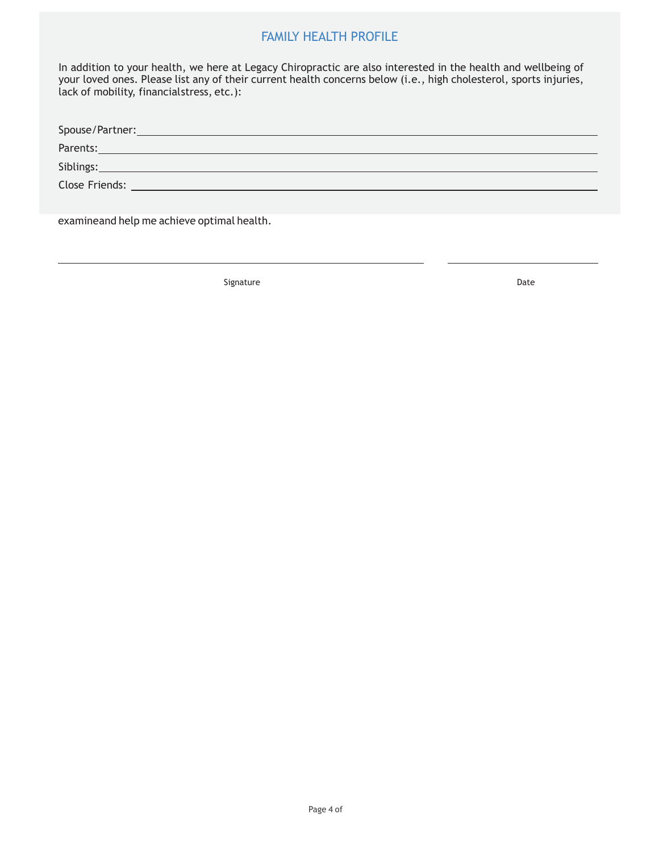#### FAMILY HEALTH PROFILE

LEGACY CHIROPRODUCE CHIROPRODUCE CHIROPRODUCE CHIROPRODUCE CHIROPRODUCE CHIROPRODUCE CHIROPRODUCE CHIROPRODUCE<br>External chiroproduce chiroproduce chiroproduce chiroproduce chiroproduce chiroproduce chiroproduce chiroprodu<br> In duction to your heatth, we here at Eegacy emmopractic are also interested in the heatth and wettbeing or<br>your loved ones. Please list any of their current health concerns below (i.e., high cholesterol, sports injuries, In addition to your health, we here at Legacy Chiropractic are also interested in the health and wellbeing of lack of mobility, financialstress, etc.):

| Parents: <u>and the contract of the contract of the contract of the contract of the contract of the contract of the contract of the contract of the contract of the contract of the contract of the contract of the contract of </u> |
|--------------------------------------------------------------------------------------------------------------------------------------------------------------------------------------------------------------------------------------|
| Siblings: <b>Example 2018</b>                                                                                                                                                                                                        |
| <b>Close Friends:</b><br>the contract of the contract of the contract of the contract of the contract of the contract of the contract of                                                                                             |
|                                                                                                                                                                                                                                      |
|                                                                                                                                                                                                                                      |

examineand help me achieve optimal health.

Signature Date Date Date Date Date Date Date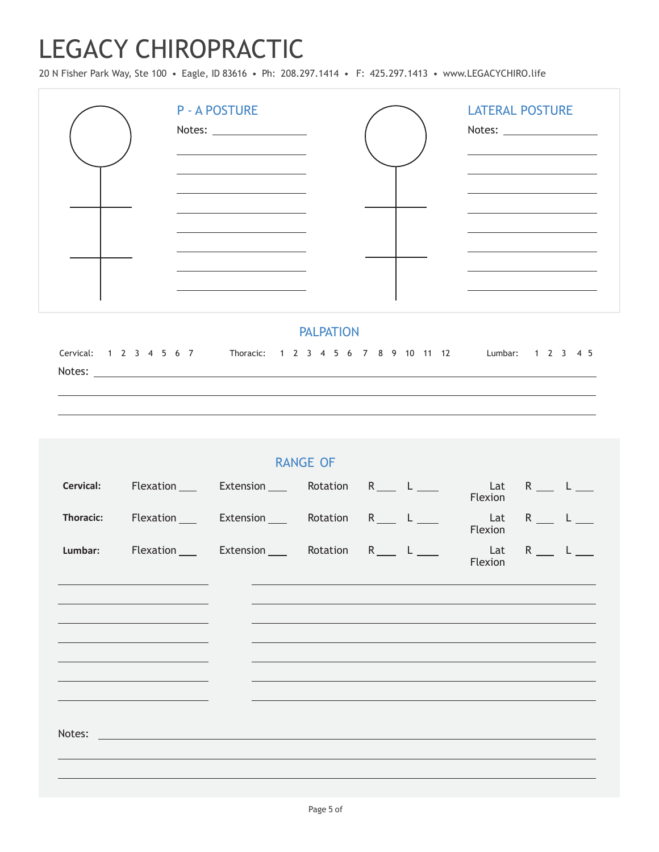20 N Fisher Park Way, Ste 100 • Eagle, ID 83616 • Ph: 208.297.1414 • F: 425.297.1413 • www.LEGACYCHIRO.life

| <b>P-A POSTURE</b><br>Notes: Website and Contract and Contract and Contract and Contract and Contract and Contract and Contract and Contract and Contract and Contract and Contract and Contract and Contract and Contract and Contract and Contract | <b>LATERAL POSTURE</b> |
|------------------------------------------------------------------------------------------------------------------------------------------------------------------------------------------------------------------------------------------------------|------------------------|
|                                                                                                                                                                                                                                                      |                        |
|                                                                                                                                                                                                                                                      |                        |

#### PALPATION

Cervical: 1 2 3 4 5 6 7 Thoracic: 1 2 3 4 5 6 7 8 9 10 11 12 Lumbar: 1 2 3 4 5 Notes: \_

|                  |                                                                                                                                                          | <b>RANGE OF</b> |                                     |  |
|------------------|----------------------------------------------------------------------------------------------------------------------------------------------------------|-----------------|-------------------------------------|--|
|                  | Cervical: Flexation ___ Extension ___ Rotation R ___ L ___                                                                                               |                 | Lat R <sub>___</sub> L__<br>Flexion |  |
| <b>Thoracic:</b> | Flexation Extension R Rotation R L                                                                                                                       |                 | Lat $R_1$ L $_2$<br>Flexion         |  |
|                  | Lumbar: Flexation ___ Extension ___ Rotation R ___ L ___                                                                                                 |                 | Flexion                             |  |
|                  | the control of the control of the control of the control of the control of<br>the control of the control of the control of the control of the control of |                 |                                     |  |
|                  | <u> 1989 - An Dùbhlachd ann an t-Aontaithe ann an t-Aontaithe ann an t-Aontaithe ann an t-Aontaithe ann an t-Aon</u>                                     |                 |                                     |  |
|                  | the control of the control of the control of the control of the control of                                                                               |                 |                                     |  |
|                  |                                                                                                                                                          |                 |                                     |  |
|                  |                                                                                                                                                          |                 |                                     |  |
|                  |                                                                                                                                                          |                 |                                     |  |
|                  |                                                                                                                                                          |                 |                                     |  |